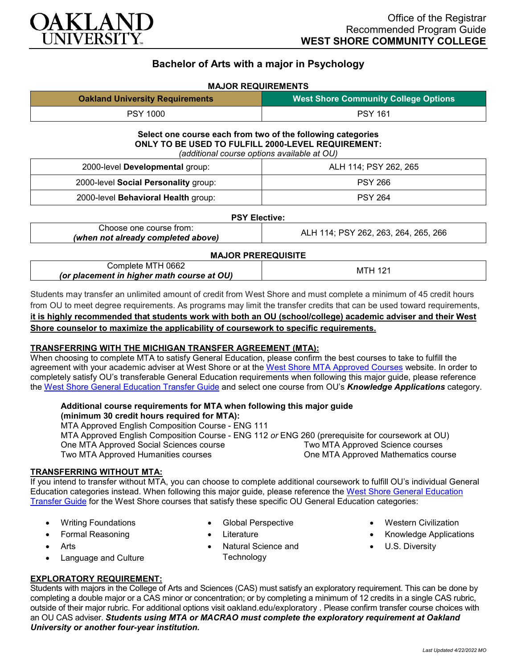

# **Bachelor of Arts with a major in Psychology**

### **MAJOR REQUIREMENTS**

| <b>Oakland University Requirements</b> | <b>West Shore Community College Options</b> |
|----------------------------------------|---------------------------------------------|
| <b>PSY 1000</b>                        | <b>PSY 161</b>                              |

# **Select one course each from two of the following categories ONLY TO BE USED TO FULFILL 2000-LEVEL REQUIREMENT:**

*(additional course options available at OU)*

| 2000-level Developmental group:      | ALH 114; PSY 262, 265 |
|--------------------------------------|-----------------------|
| 2000-level Social Personality group: | <b>PSY 266</b>        |
| 2000-level Behavioral Health group:  | <b>PSY 264</b>        |

#### **PSY Elective:**

| Choose one course from:            | ALH 114; PSY 262, 263, 264, 265, 266 |
|------------------------------------|--------------------------------------|
| (when not already completed above) |                                      |

#### **MAJOR PREREQUISITE**

| MTH 0662 ؛<br>'ompleteٺ<br>(or placement in higher math course at OU) | MTH. |
|-----------------------------------------------------------------------|------|
|-----------------------------------------------------------------------|------|

Students may transfer an unlimited amount of credit from West Shore and must complete a minimum of 45 credit hours from OU to meet degree requirements. As programs may limit the transfer credits that can be used toward requirements, **it is highly recommended that students work with both an OU (school/college) academic adviser and their West Shore counselor to maximize the applicability of coursework to specific requirements.**

## **TRANSFERRING WITH THE MICHIGAN TRANSFER AGREEMENT (MTA):**

When choosing to complete MTA to satisfy General Education, please confirm the best courses to take to fulfill the agreement with your academic adviser at West Shore or at the West Shore MTA [Approved Courses](https://www.westshore.edu/wp-content/uploads/2017/08/WSCC-MTA.pdf) website. In order to completely satisfy OU's transferable General Education requirements when following this major guide, please reference the [West Shore General Education Transfer Guide](https://www.oakland.edu/Assets/Oakland/program-guides/west-shore-community-college/university-general-education-requirements/West%20Shore%20Gen%20Ed.pdf) and select one course from OU's *Knowledge Applications* category.

#### **Additional course requirements for MTA when following this major guide (minimum 30 credit hours required for MTA):**

MTA Approved English Composition Course - ENG 111 MTA Approved English Composition Course - ENG 112 *or* ENG 260 (prerequisite for coursework at OU) One MTA Approved Social Sciences course Two MTA Approved Humanities courses Two MTA Approved Science courses One MTA Approved Mathematics course

#### **TRANSFERRING WITHOUT MTA:**

If you intend to transfer without MTA, you can choose to complete additional coursework to fulfill OU's individual General Education categories instead. When following this major guide, please reference the [West Shore General Education](https://www.oakland.edu/Assets/Oakland/program-guides/west-shore-community-college/university-general-education-requirements/West%20Shore%20Gen%20Ed.pdf)  [Transfer Guide](https://www.oakland.edu/Assets/Oakland/program-guides/west-shore-community-college/university-general-education-requirements/West%20Shore%20Gen%20Ed.pdf) for the West Shore courses that satisfy these specific OU General Education categories:

- Writing Foundations
- Formal Reasoning
- **Arts**
- Language and Culture
- Global Perspective
- Literature
- Natural Science and **Technology**
- Western Civilization
- Knowledge Applications
- U.S. Diversity

## **EXPLORATORY REQUIREMENT:**

Students with majors in the College of Arts and Sciences (CAS) must satisfy an exploratory requirement. This can be done by completing a double major or a CAS minor or concentration; or by completing a minimum of 12 credits in a single CAS rubric, outside of their major rubric. For additional options visit [oakland.edu/exploratory](http://www.oakland.edu/exploratory) . Please confirm transfer course choices with an OU CAS adviser. *Students using MTA or MACRAO must complete the exploratory requirement at Oakland University or another four-year institution.*